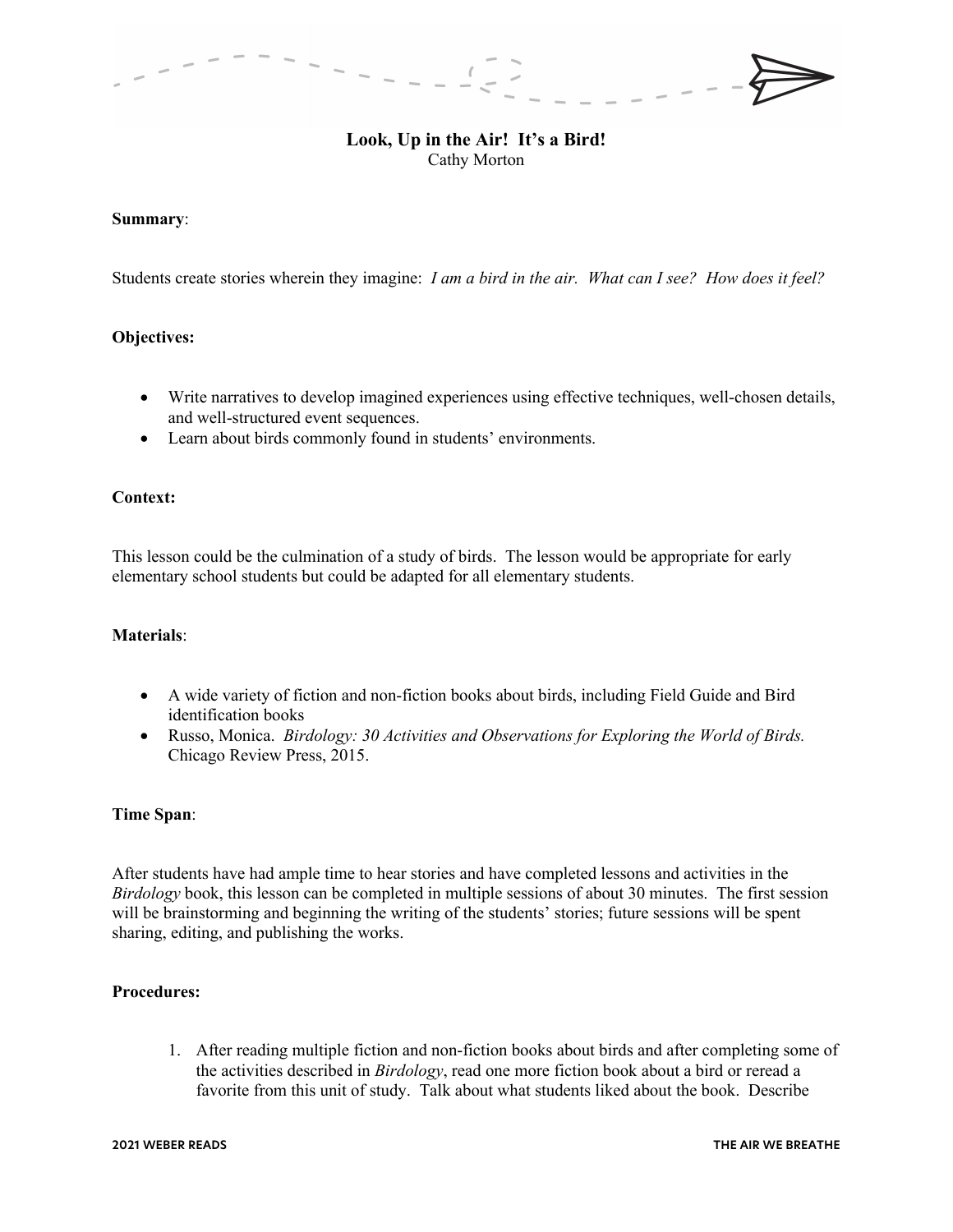# **Look, Up in the Air! It's a Bird!** Cathy Morton

## **Summary**:

Students create stories wherein they imagine: *I am a bird in the air. What can I see? How does it feel?* 

## **Objectives:**

- Write narratives to develop imagined experiences using effective techniques, well-chosen details, and well-structured event sequences.
- Learn about birds commonly found in students' environments.

# **Context:**

This lesson could be the culmination of a study of birds. The lesson would be appropriate for early elementary school students but could be adapted for all elementary students.

## **Materials**:

- A wide variety of fiction and non-fiction books about birds, including Field Guide and Bird identification books
- Russo, Monica. *Birdology: 30 Activities and Observations for Exploring the World of Birds.*  Chicago Review Press, 2015.

### **Time Span**:

After students have had ample time to hear stories and have completed lessons and activities in the *Birdology* book, this lesson can be completed in multiple sessions of about 30 minutes. The first session will be brainstorming and beginning the writing of the students' stories; future sessions will be spent sharing, editing, and publishing the works.

## **Procedures:**

1. After reading multiple fiction and non-fiction books about birds and after completing some of the activities described in *Birdology*, read one more fiction book about a bird or reread a favorite from this unit of study. Talk about what students liked about the book. Describe